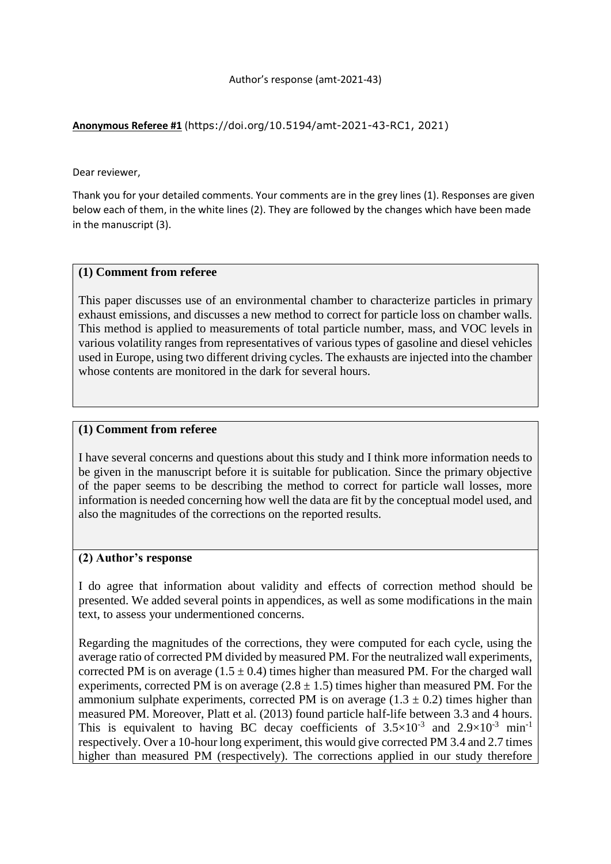**Anonymous Referee #1** (https://doi.org/10.5194/amt-2021-43-RC1, 2021)

Dear reviewer,

Thank you for your detailed comments. Your comments are in the grey lines (1). Responses are given below each of them, in the white lines (2). They are followed by the changes which have been made in the manuscript (3).

### **(1) Comment from referee**

This paper discusses use of an environmental chamber to characterize particles in primary exhaust emissions, and discusses a new method to correct for particle loss on chamber walls. This method is applied to measurements of total particle number, mass, and VOC levels in various volatility ranges from representatives of various types of gasoline and diesel vehicles used in Europe, using two different driving cycles. The exhausts are injected into the chamber whose contents are monitored in the dark for several hours.

### **(1) Comment from referee**

I have several concerns and questions about this study and I think more information needs to be given in the manuscript before it is suitable for publication. Since the primary objective of the paper seems to be describing the method to correct for particle wall losses, more information is needed concerning how well the data are fit by the conceptual model used, and also the magnitudes of the corrections on the reported results.

#### **(2) Author's response**

I do agree that information about validity and effects of correction method should be presented. We added several points in appendices, as well as some modifications in the main text, to assess your undermentioned concerns.

Regarding the magnitudes of the corrections, they were computed for each cycle, using the average ratio of corrected PM divided by measured PM. For the neutralized wall experiments, corrected PM is on average  $(1.5 \pm 0.4)$  times higher than measured PM. For the charged wall experiments, corrected PM is on average  $(2.8 \pm 1.5)$  times higher than measured PM. For the ammonium sulphate experiments, corrected PM is on average  $(1.3 \pm 0.2)$  times higher than measured PM. Moreover, Platt et al. (2013) found particle half-life between 3.3 and 4 hours. This is equivalent to having BC decay coefficients of  $3.5 \times 10^{-3}$  and  $2.9 \times 10^{-3}$  min<sup>-1</sup> respectively. Over a 10-hour long experiment, this would give corrected PM 3.4 and 2.7 times higher than measured PM (respectively). The corrections applied in our study therefore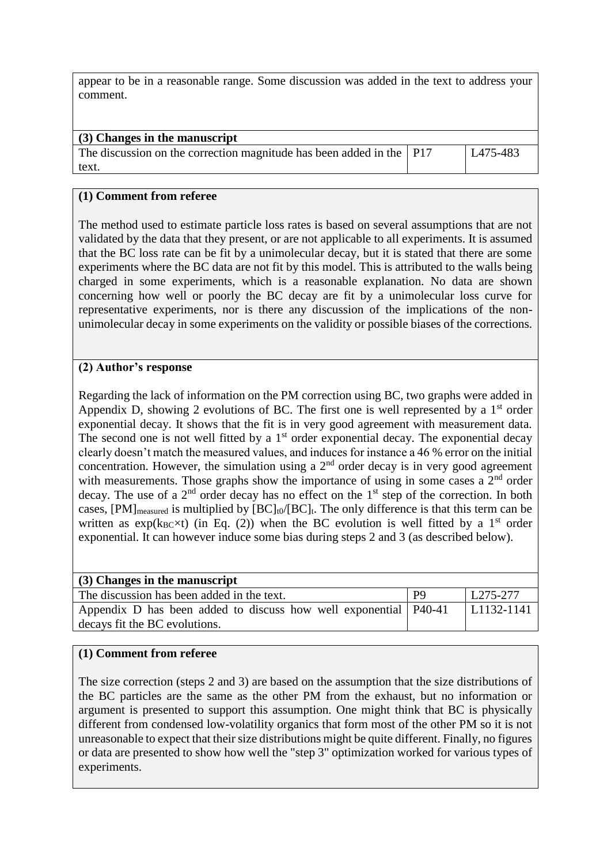appear to be in a reasonable range. Some discussion was added in the text to address your comment.

| (3) Changes in the manuscript                                          |                      |
|------------------------------------------------------------------------|----------------------|
| The discussion on the correction magnitude has been added in the   P17 | L <sub>475-483</sub> |
| text.                                                                  |                      |

### **(1) Comment from referee**

The method used to estimate particle loss rates is based on several assumptions that are not validated by the data that they present, or are not applicable to all experiments. It is assumed that the BC loss rate can be fit by a unimolecular decay, but it is stated that there are some experiments where the BC data are not fit by this model. This is attributed to the walls being charged in some experiments, which is a reasonable explanation. No data are shown concerning how well or poorly the BC decay are fit by a unimolecular loss curve for representative experiments, nor is there any discussion of the implications of the nonunimolecular decay in some experiments on the validity or possible biases of the corrections.

# **(2) Author's response**

Regarding the lack of information on the PM correction using BC, two graphs were added in Appendix D, showing 2 evolutions of BC. The first one is well represented by a  $1<sup>st</sup>$  order exponential decay. It shows that the fit is in very good agreement with measurement data. The second one is not well fitted by a  $1<sup>st</sup>$  order exponential decay. The exponential decay clearly doesn't match the measured values, and induces for instance a 46 % error on the initial concentration. However, the simulation using a  $2<sup>nd</sup>$  order decay is in very good agreement with measurements. Those graphs show the importance of using in some cases a  $2<sup>nd</sup>$  order decay. The use of a  $2<sup>nd</sup>$  order decay has no effect on the  $1<sup>st</sup>$  step of the correction. In both cases,  $[PM]_{measured}$  is multiplied by  $[BC]_{t0}/[BC]_t$ . The only difference is that this term can be written as  $exp(k_{BC} \times t)$  (in Eq. (2)) when the BC evolution is well fitted by a 1<sup>st</sup> order exponential. It can however induce some bias during steps 2 and 3 (as described below).

| (3) Changes in the manuscript                                      |                |               |
|--------------------------------------------------------------------|----------------|---------------|
| The discussion has been added in the text.                         | P <sub>9</sub> | L275-277      |
| Appendix D has been added to discuss how well exponential   P40-41 |                | $ L1132-1141$ |
| decays fit the BC evolutions.                                      |                |               |

# **(1) Comment from referee**

The size correction (steps 2 and 3) are based on the assumption that the size distributions of the BC particles are the same as the other PM from the exhaust, but no information or argument is presented to support this assumption. One might think that BC is physically different from condensed low-volatility organics that form most of the other PM so it is not unreasonable to expect that their size distributions might be quite different. Finally, no figures or data are presented to show how well the "step 3" optimization worked for various types of experiments.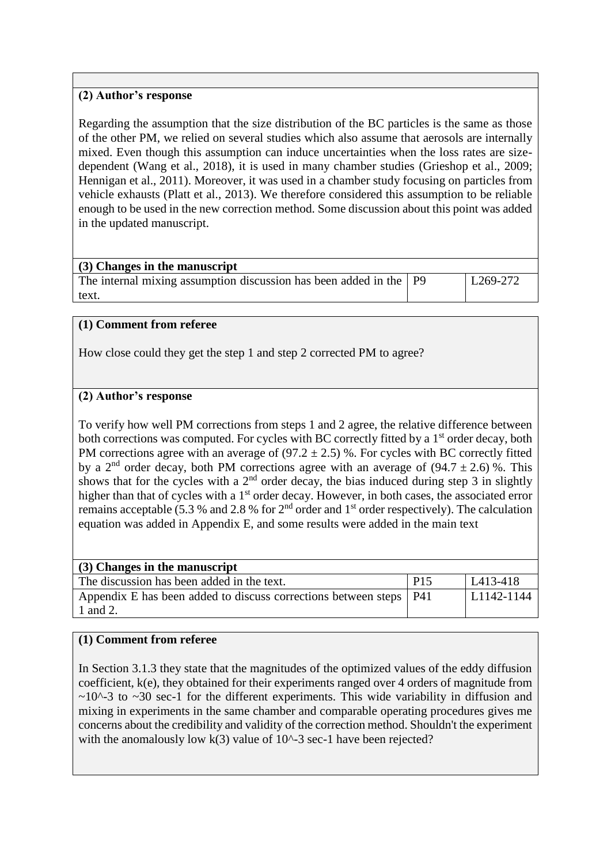# **(2) Author's response**

Regarding the assumption that the size distribution of the BC particles is the same as those of the other PM, we relied on several studies which also assume that aerosols are internally mixed. Even though this assumption can induce uncertainties when the loss rates are sizedependent (Wang et al., 2018), it is used in many chamber studies (Grieshop et al., 2009; Hennigan et al., 2011). Moreover, it was used in a chamber study focusing on particles from vehicle exhausts (Platt et al., 2013). We therefore considered this assumption to be reliable enough to be used in the new correction method. Some discussion about this point was added in the updated manuscript.

| $(3)$ Changes in the manuscript                                      |                      |
|----------------------------------------------------------------------|----------------------|
| The internal mixing assumption discussion has been added in the   P9 | L <sub>269-272</sub> |
| text.                                                                |                      |

### **(1) Comment from referee**

How close could they get the step 1 and step 2 corrected PM to agree?

### **(2) Author's response**

To verify how well PM corrections from steps 1 and 2 agree, the relative difference between both corrections was computed. For cycles with BC correctly fitted by a 1<sup>st</sup> order decay, both PM corrections agree with an average of  $(97.2 \pm 2.5)$ %. For cycles with BC correctly fitted by a 2<sup>nd</sup> order decay, both PM corrections agree with an average of (94.7  $\pm$  2.6) %. This shows that for the cycles with a  $2<sup>nd</sup>$  order decay, the bias induced during step 3 in slightly higher than that of cycles with a 1<sup>st</sup> order decay. However, in both cases, the associated error remains acceptable (5.3 % and 2.8 % for 2nd order and 1st order respectively). The calculation equation was added in Appendix E, and some results were added in the main text

| (3) Changes in the manuscript                                        |                  |                  |
|----------------------------------------------------------------------|------------------|------------------|
| The discussion has been added in the text.                           | $\overline{P}15$ | $L413-418$       |
| Appendix E has been added to discuss corrections between steps   P41 |                  | $  L1142 - 1144$ |
| 1 and 2.                                                             |                  |                  |

# **(1) Comment from referee**

In Section 3.1.3 they state that the magnitudes of the optimized values of the eddy diffusion coefficient, k(e), they obtained for their experiments ranged over 4 orders of magnitude from  $\sim$ 10^-3 to  $\sim$ 30 sec-1 for the different experiments. This wide variability in diffusion and mixing in experiments in the same chamber and comparable operating procedures gives me concerns about the credibility and validity of the correction method. Shouldn't the experiment with the anomalously low  $k(3)$  value of 10^-3 sec-1 have been rejected?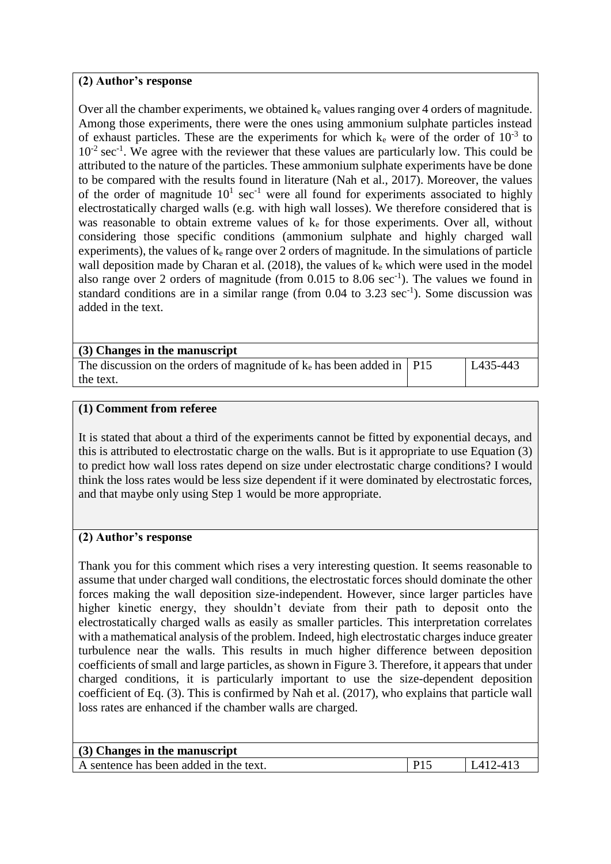# **(2) Author's response**

Over all the chamber experiments, we obtained  $k_e$  values ranging over 4 orders of magnitude. Among those experiments, there were the ones using ammonium sulphate particles instead of exhaust particles. These are the experiments for which  $k_e$  were of the order of  $10^{-3}$  to  $10^{-2}$  sec<sup>-1</sup>. We agree with the reviewer that these values are particularly low. This could be attributed to the nature of the particles. These ammonium sulphate experiments have be done to be compared with the results found in literature (Nah et al., 2017). Moreover, the values of the order of magnitude  $10<sup>1</sup>$  sec<sup>-1</sup> were all found for experiments associated to highly electrostatically charged walls (e.g. with high wall losses). We therefore considered that is was reasonable to obtain extreme values of  $k<sub>e</sub>$  for those experiments. Over all, without considering those specific conditions (ammonium sulphate and highly charged wall experiments), the values of  $k_e$  range over 2 orders of magnitude. In the simulations of particle wall deposition made by Charan et al.  $(2018)$ , the values of  $k<sub>e</sub>$  which were used in the model also range over 2 orders of magnitude (from  $0.015$  to  $8.06$  sec<sup>-1</sup>). The values we found in standard conditions are in a similar range (from  $0.04$  to  $3.23$  sec<sup>-1</sup>). Some discussion was added in the text.

| (3) Changes in the manuscript                                              |          |
|----------------------------------------------------------------------------|----------|
| The discussion on the orders of magnitude of $k_e$ has been added in   P15 | L435-443 |
| the text.                                                                  |          |

### **(1) Comment from referee**

It is stated that about a third of the experiments cannot be fitted by exponential decays, and this is attributed to electrostatic charge on the walls. But is it appropriate to use Equation (3) to predict how wall loss rates depend on size under electrostatic charge conditions? I would think the loss rates would be less size dependent if it were dominated by electrostatic forces, and that maybe only using Step 1 would be more appropriate.

# **(2) Author's response**

Thank you for this comment which rises a very interesting question. It seems reasonable to assume that under charged wall conditions, the electrostatic forces should dominate the other forces making the wall deposition size-independent. However, since larger particles have higher kinetic energy, they shouldn't deviate from their path to deposit onto the electrostatically charged walls as easily as smaller particles. This interpretation correlates with a mathematical analysis of the problem. Indeed, high electrostatic charges induce greater turbulence near the walls. This results in much higher difference between deposition coefficients of small and large particles, as shown in Figure 3. Therefore, it appears that under charged conditions, it is particularly important to use the size-dependent deposition coefficient of Eq. (3). This is confirmed by Nah et al. (2017), who explains that particle wall loss rates are enhanced if the chamber walls are charged.

| (3) Changes in the manuscript          |                 |                   |
|----------------------------------------|-----------------|-------------------|
| A sentence has been added in the text. | P <sub>15</sub> | $\vert$ I 412-413 |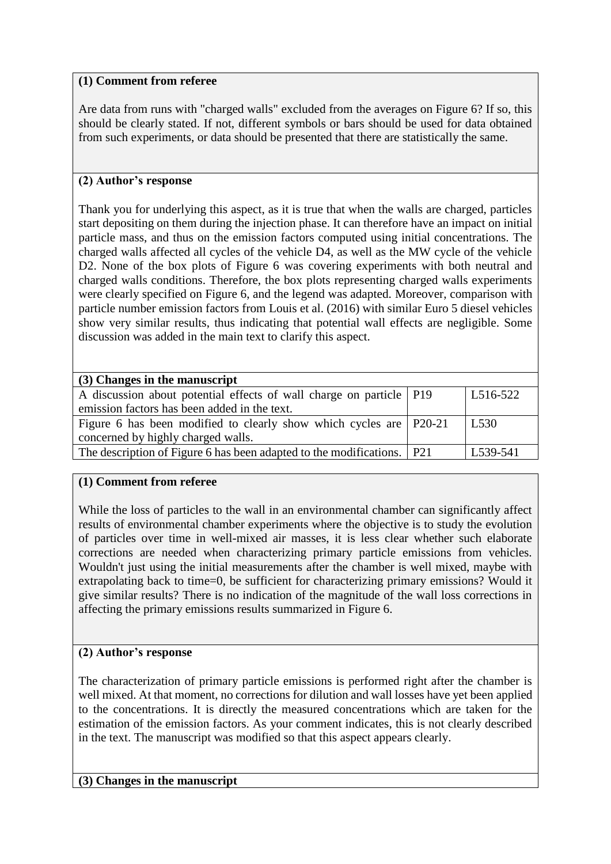Are data from runs with "charged walls" excluded from the averages on Figure 6? If so, this should be clearly stated. If not, different symbols or bars should be used for data obtained from such experiments, or data should be presented that there are statistically the same.

# **(2) Author's response**

Thank you for underlying this aspect, as it is true that when the walls are charged, particles start depositing on them during the injection phase. It can therefore have an impact on initial particle mass, and thus on the emission factors computed using initial concentrations. The charged walls affected all cycles of the vehicle D4, as well as the MW cycle of the vehicle D2. None of the box plots of Figure 6 was covering experiments with both neutral and charged walls conditions. Therefore, the box plots representing charged walls experiments were clearly specified on Figure 6, and the legend was adapted. Moreover, comparison with particle number emission factors from Louis et al. (2016) with similar Euro 5 diesel vehicles show very similar results, thus indicating that potential wall effects are negligible. Some discussion was added in the main text to clarify this aspect.

| (3) Changes in the manuscript                                              |                       |
|----------------------------------------------------------------------------|-----------------------|
| A discussion about potential effects of wall charge on particle   P19      | L <sub>5</sub> 16-522 |
| emission factors has been added in the text.                               |                       |
| Figure 6 has been modified to clearly show which cycles are $\vert$ P20-21 | L <sub>530</sub>      |
| concerned by highly charged walls.                                         |                       |
| The description of Figure 6 has been adapted to the modifications.   P21   | L539-541              |
|                                                                            |                       |

# **(1) Comment from referee**

While the loss of particles to the wall in an environmental chamber can significantly affect results of environmental chamber experiments where the objective is to study the evolution of particles over time in well-mixed air masses, it is less clear whether such elaborate corrections are needed when characterizing primary particle emissions from vehicles. Wouldn't just using the initial measurements after the chamber is well mixed, maybe with extrapolating back to time=0, be sufficient for characterizing primary emissions? Would it give similar results? There is no indication of the magnitude of the wall loss corrections in affecting the primary emissions results summarized in Figure 6.

# **(2) Author's response**

The characterization of primary particle emissions is performed right after the chamber is well mixed. At that moment, no corrections for dilution and wall losses have yet been applied to the concentrations. It is directly the measured concentrations which are taken for the estimation of the emission factors. As your comment indicates, this is not clearly described in the text. The manuscript was modified so that this aspect appears clearly.

# **(3) Changes in the manuscript**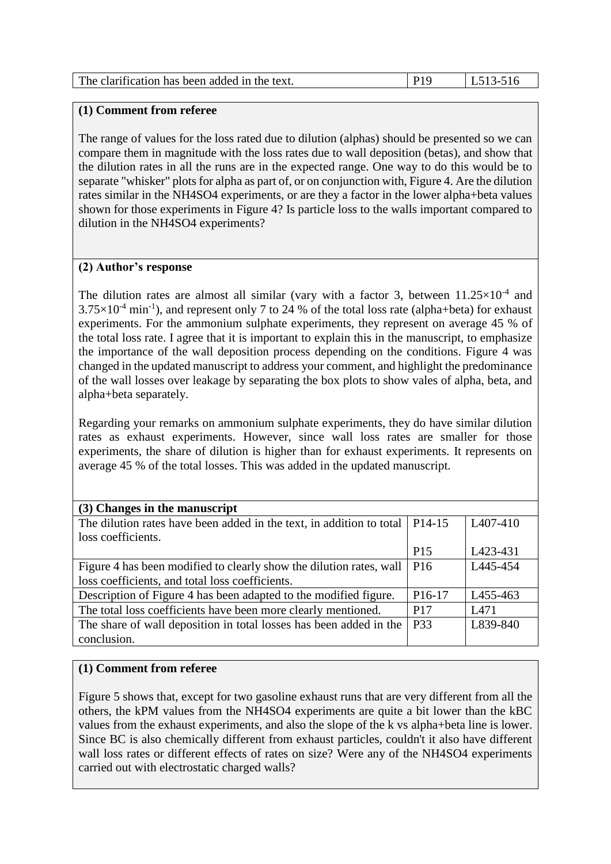The range of values for the loss rated due to dilution (alphas) should be presented so we can compare them in magnitude with the loss rates due to wall deposition (betas), and show that the dilution rates in all the runs are in the expected range. One way to do this would be to separate "whisker" plots for alpha as part of, or on conjunction with, Figure 4. Are the dilution rates similar in the NH4SO4 experiments, or are they a factor in the lower alpha+beta values shown for those experiments in Figure 4? Is particle loss to the walls important compared to dilution in the NH4SO4 experiments?

# **(2) Author's response**

The dilution rates are almost all similar (vary with a factor 3, between  $11.25\times10^{-4}$  and  $3.75\times10^{-4}$  min<sup>-1</sup>), and represent only 7 to 24 % of the total loss rate (alpha+beta) for exhaust experiments. For the ammonium sulphate experiments, they represent on average 45 % of the total loss rate. I agree that it is important to explain this in the manuscript, to emphasize the importance of the wall deposition process depending on the conditions. Figure 4 was changed in the updated manuscript to address your comment, and highlight the predominance of the wall losses over leakage by separating the box plots to show vales of alpha, beta, and alpha+beta separately.

Regarding your remarks on ammonium sulphate experiments, they do have similar dilution rates as exhaust experiments. However, since wall loss rates are smaller for those experiments, the share of dilution is higher than for exhaust experiments. It represents on average 45 % of the total losses. This was added in the updated manuscript.

| (3) Changes in the manuscript                                        |                     |                       |
|----------------------------------------------------------------------|---------------------|-----------------------|
| The dilution rates have been added in the text, in addition to total | P <sub>14</sub> -15 | L <sub>4</sub> 07-410 |
| loss coefficients.                                                   |                     |                       |
|                                                                      | P <sub>15</sub>     | L423-431              |
| Figure 4 has been modified to clearly show the dilution rates, wall  | P <sub>16</sub>     | L445-454              |
| loss coefficients, and total loss coefficients.                      |                     |                       |
| Description of Figure 4 has been adapted to the modified figure.     | P <sub>16</sub> -17 | L455-463              |
| The total loss coefficients have been more clearly mentioned.        | P <sub>17</sub>     | L471                  |
| The share of wall deposition in total losses has been added in the   | P33                 | L839-840              |
| conclusion.                                                          |                     |                       |

# **(1) Comment from referee**

Figure 5 shows that, except for two gasoline exhaust runs that are very different from all the others, the kPM values from the NH4SO4 experiments are quite a bit lower than the kBC values from the exhaust experiments, and also the slope of the k vs alpha+beta line is lower. Since BC is also chemically different from exhaust particles, couldn't it also have different wall loss rates or different effects of rates on size? Were any of the NH4SO4 experiments carried out with electrostatic charged walls?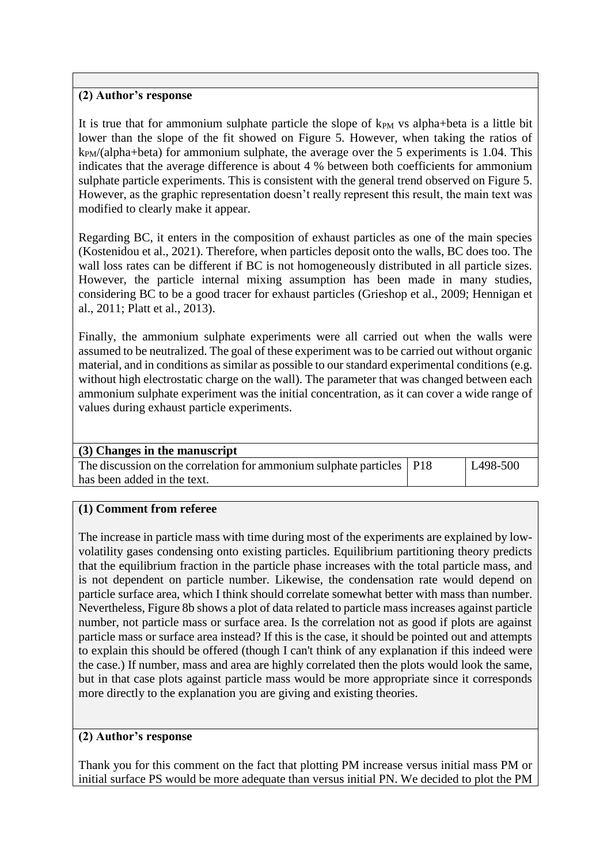# **(2) Author's response**

It is true that for ammonium sulphate particle the slope of  $k_{PM}$  vs alpha+beta is a little bit lower than the slope of the fit showed on Figure 5. However, when taking the ratios of  $k_{PM}/(alpha+beta)$  for ammonium sulphate, the average over the 5 experiments is 1.04. This indicates that the average difference is about 4 % between both coefficients for ammonium sulphate particle experiments. This is consistent with the general trend observed on Figure 5. However, as the graphic representation doesn't really represent this result, the main text was modified to clearly make it appear.

Regarding BC, it enters in the composition of exhaust particles as one of the main species (Kostenidou et al., 2021). Therefore, when particles deposit onto the walls, BC does too. The wall loss rates can be different if BC is not homogeneously distributed in all particle sizes. However, the particle internal mixing assumption has been made in many studies, considering BC to be a good tracer for exhaust particles (Grieshop et al., 2009; Hennigan et al., 2011; Platt et al., 2013).

Finally, the ammonium sulphate experiments were all carried out when the walls were assumed to be neutralized. The goal of these experiment was to be carried out without organic material, and in conditions as similar as possible to our standard experimental conditions (e.g. without high electrostatic charge on the wall). The parameter that was changed between each ammonium sulphate experiment was the initial concentration, as it can cover a wide range of values during exhaust particle experiments.

#### **(3) Changes in the manuscript**

The discussion on the correlation for ammonium sulphate particles has been added in the text.

P18 L498-500

#### **(1) Comment from referee**

The increase in particle mass with time during most of the experiments are explained by lowvolatility gases condensing onto existing particles. Equilibrium partitioning theory predicts that the equilibrium fraction in the particle phase increases with the total particle mass, and is not dependent on particle number. Likewise, the condensation rate would depend on particle surface area, which I think should correlate somewhat better with mass than number. Nevertheless, Figure 8b shows a plot of data related to particle mass increases against particle number, not particle mass or surface area. Is the correlation not as good if plots are against particle mass or surface area instead? If this is the case, it should be pointed out and attempts to explain this should be offered (though I can't think of any explanation if this indeed were the case.) If number, mass and area are highly correlated then the plots would look the same, but in that case plots against particle mass would be more appropriate since it corresponds more directly to the explanation you are giving and existing theories.

#### **(2) Author's response**

Thank you for this comment on the fact that plotting PM increase versus initial mass PM or initial surface PS would be more adequate than versus initial PN. We decided to plot the PM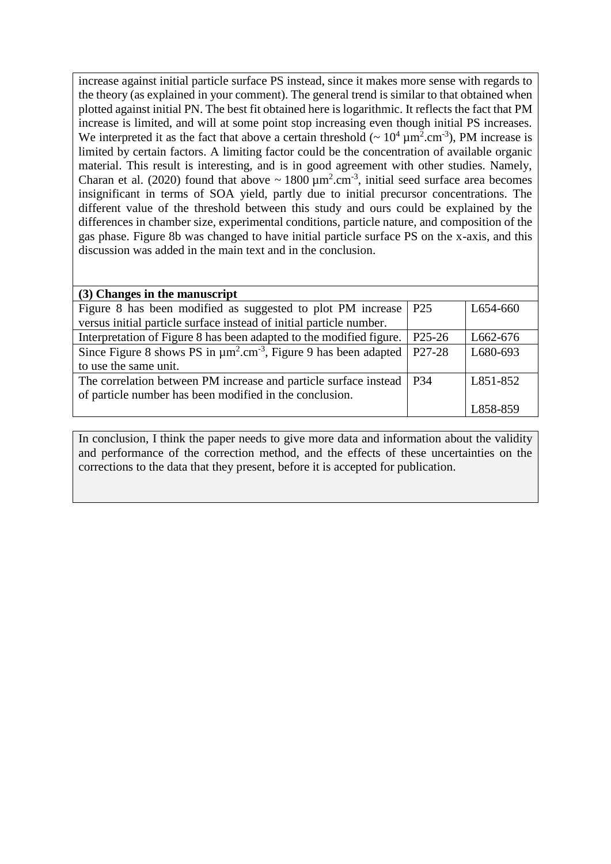increase against initial particle surface PS instead, since it makes more sense with regards to the theory (as explained in your comment). The general trend is similar to that obtained when plotted against initial PN. The best fit obtained here is logarithmic. It reflects the fact that PM increase is limited, and will at some point stop increasing even though initial PS increases. We interpreted it as the fact that above a certain threshold ( $\sim 10^4 \,\mathrm{\upmu m^2.cm^{-3}}$ ), PM increase is limited by certain factors. A limiting factor could be the concentration of available organic material. This result is interesting, and is in good agreement with other studies. Namely, Charan et al. (2020) found that above  $\sim 1800 \,\mu\text{m}^2.\text{cm}^{-3}$ , initial seed surface area becomes insignificant in terms of SOA yield, partly due to initial precursor concentrations. The different value of the threshold between this study and ours could be explained by the differences in chamber size, experimental conditions, particle nature, and composition of the gas phase. Figure 8b was changed to have initial particle surface PS on the x-axis, and this discussion was added in the main text and in the conclusion.

| (3) Changes in the manuscript                                                                 |                     |          |
|-----------------------------------------------------------------------------------------------|---------------------|----------|
| Figure 8 has been modified as suggested to plot PM increase                                   | P <sub>25</sub>     | L654-660 |
| versus initial particle surface instead of initial particle number.                           |                     |          |
| Interpretation of Figure 8 has been adapted to the modified figure.                           | P <sub>25</sub> -26 | L662-676 |
| Since Figure 8 shows PS in $\mu$ m <sup>2</sup> .cm <sup>-3</sup> , Figure 9 has been adapted | P <sub>27</sub> -28 | L680-693 |
| to use the same unit.                                                                         |                     |          |
| The correlation between PM increase and particle surface instead                              | P <sub>34</sub>     | L851-852 |
| of particle number has been modified in the conclusion.                                       |                     |          |
|                                                                                               |                     | L858-859 |

In conclusion, I think the paper needs to give more data and information about the validity and performance of the correction method, and the effects of these uncertainties on the corrections to the data that they present, before it is accepted for publication.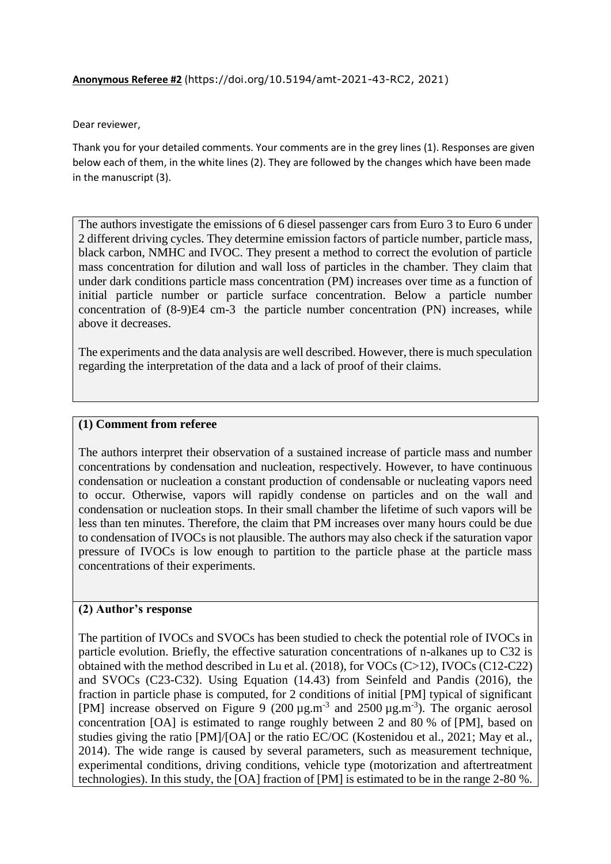#### **Anonymous Referee #2** (https://doi.org/10.5194/amt-2021-43-RC2, 2021)

Dear reviewer,

Thank you for your detailed comments. Your comments are in the grey lines (1). Responses are given below each of them, in the white lines (2). They are followed by the changes which have been made in the manuscript (3).

The authors investigate the emissions of 6 diesel passenger cars from Euro 3 to Euro 6 under 2 different driving cycles. They determine emission factors of particle number, particle mass, black carbon, NMHC and IVOC. They present a method to correct the evolution of particle mass concentration for dilution and wall loss of particles in the chamber. They claim that under dark conditions particle mass concentration (PM) increases over time as a function of initial particle number or particle surface concentration. Below a particle number concentration of (8-9)E4 cm-3 the particle number concentration (PN) increases, while above it decreases.

The experiments and the data analysis are well described. However, there is much speculation regarding the interpretation of the data and a lack of proof of their claims.

#### **(1) Comment from referee**

The authors interpret their observation of a sustained increase of particle mass and number concentrations by condensation and nucleation, respectively. However, to have continuous condensation or nucleation a constant production of condensable or nucleating vapors need to occur. Otherwise, vapors will rapidly condense on particles and on the wall and condensation or nucleation stops. In their small chamber the lifetime of such vapors will be less than ten minutes. Therefore, the claim that PM increases over many hours could be due to condensation of IVOCs is not plausible. The authors may also check if the saturation vapor pressure of IVOCs is low enough to partition to the particle phase at the particle mass concentrations of their experiments.

#### **(2) Author's response**

The partition of IVOCs and SVOCs has been studied to check the potential role of IVOCs in particle evolution. Briefly, the effective saturation concentrations of n-alkanes up to C32 is obtained with the method described in Lu et al. (2018), for VOCs (C>12), IVOCs (C12-C22) and SVOCs (C23-C32). Using Equation (14.43) from Seinfeld and Pandis (2016), the fraction in particle phase is computed, for 2 conditions of initial [PM] typical of significant [PM] increase observed on Figure 9  $(200 \,\mu g.m^{-3})$  and  $2500 \,\mu g.m^{-3})$ . The organic aerosol concentration [OA] is estimated to range roughly between 2 and 80 % of [PM], based on studies giving the ratio [PM]/[OA] or the ratio EC/OC (Kostenidou et al., 2021; May et al., 2014). The wide range is caused by several parameters, such as measurement technique, experimental conditions, driving conditions, vehicle type (motorization and aftertreatment technologies). In this study, the [OA] fraction of [PM] is estimated to be in the range 2-80 %.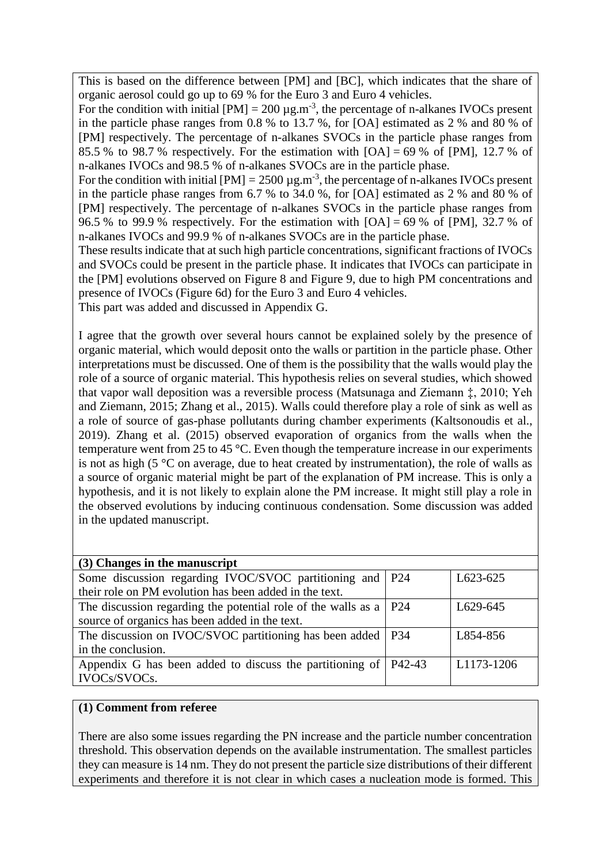This is based on the difference between [PM] and [BC], which indicates that the share of organic aerosol could go up to 69 % for the Euro 3 and Euro 4 vehicles.

For the condition with initial  $[PM] = 200 \mu g.m^{-3}$ , the percentage of n-alkanes IVOCs present in the particle phase ranges from 0.8 % to 13.7 %, for [OA] estimated as 2 % and 80 % of [PM] respectively. The percentage of n-alkanes SVOCs in the particle phase ranges from 85.5 % to 98.7 % respectively. For the estimation with  $[OA] = 69$  % of  $[PM]$ , 12.7 % of n-alkanes IVOCs and 98.5 % of n-alkanes SVOCs are in the particle phase.

For the condition with initial  $[PM] = 2500 \mu g.m^{-3}$ , the percentage of n-alkanes IVOCs present in the particle phase ranges from 6.7 % to 34.0 %, for [OA] estimated as 2 % and 80 % of [PM] respectively. The percentage of n-alkanes SVOCs in the particle phase ranges from 96.5 % to 99.9 % respectively. For the estimation with  $[OA] = 69$  % of  $[PM]$ , 32.7 % of n-alkanes IVOCs and 99.9 % of n-alkanes SVOCs are in the particle phase.

These results indicate that at such high particle concentrations, significant fractions of IVOCs and SVOCs could be present in the particle phase. It indicates that IVOCs can participate in the [PM] evolutions observed on Figure 8 and Figure 9, due to high PM concentrations and presence of IVOCs (Figure 6d) for the Euro 3 and Euro 4 vehicles.

This part was added and discussed in Appendix G.

I agree that the growth over several hours cannot be explained solely by the presence of organic material, which would deposit onto the walls or partition in the particle phase. Other interpretations must be discussed. One of them is the possibility that the walls would play the role of a source of organic material. This hypothesis relies on several studies, which showed that vapor wall deposition was a reversible process (Matsunaga and Ziemann ‡, 2010; Yeh and Ziemann, 2015; Zhang et al., 2015). Walls could therefore play a role of sink as well as a role of source of gas-phase pollutants during chamber experiments (Kaltsonoudis et al., 2019). Zhang et al. (2015) observed evaporation of organics from the walls when the temperature went from 25 to 45 °C. Even though the temperature increase in our experiments is not as high (5 $\degree$ C on average, due to heat created by instrumentation), the role of walls as a source of organic material might be part of the explanation of PM increase. This is only a hypothesis, and it is not likely to explain alone the PM increase. It might still play a role in the observed evolutions by inducing continuous condensation. Some discussion was added in the updated manuscript.

| (3) Changes in the manuscript                                             |          |            |
|---------------------------------------------------------------------------|----------|------------|
| Some discussion regarding IVOC/SVOC partitioning and   P24                |          | L623-625   |
| their role on PM evolution has been added in the text.                    |          |            |
| The discussion regarding the potential role of the walls as a $\vert$ P24 |          | L629-645   |
| source of organics has been added in the text.                            |          |            |
| The discussion on IVOC/SVOC partitioning has been added   P34             |          | L854-856   |
| in the conclusion.                                                        |          |            |
| Appendix G has been added to discuss the partitioning of                  | $P42-43$ | L1173-1206 |
| IVOCs/SVOCs.                                                              |          |            |

# **(1) Comment from referee**

There are also some issues regarding the PN increase and the particle number concentration threshold. This observation depends on the available instrumentation. The smallest particles they can measure is 14 nm. They do not present the particle size distributions of their different experiments and therefore it is not clear in which cases a nucleation mode is formed. This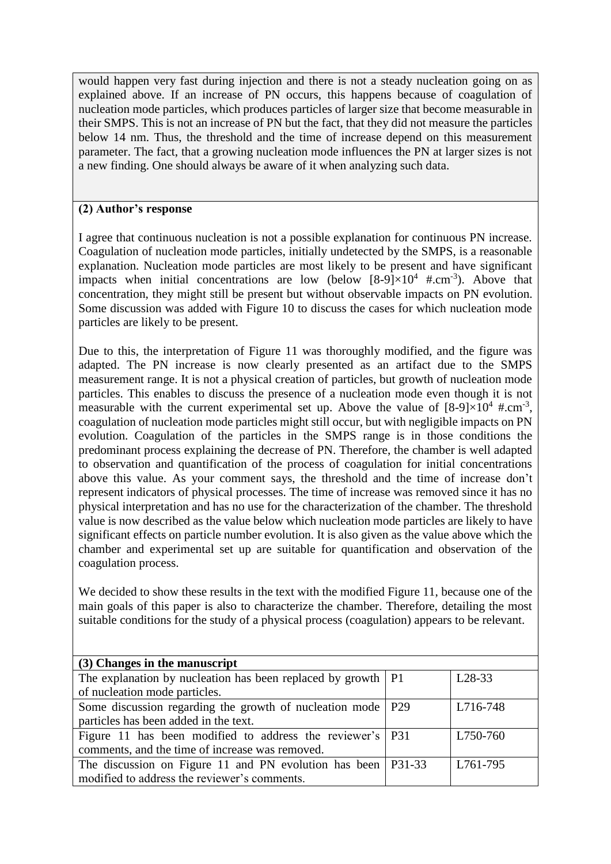would happen very fast during injection and there is not a steady nucleation going on as explained above. If an increase of PN occurs, this happens because of coagulation of nucleation mode particles, which produces particles of larger size that become measurable in their SMPS. This is not an increase of PN but the fact, that they did not measure the particles below 14 nm. Thus, the threshold and the time of increase depend on this measurement parameter. The fact, that a growing nucleation mode influences the PN at larger sizes is not a new finding. One should always be aware of it when analyzing such data.

# **(2) Author's response**

I agree that continuous nucleation is not a possible explanation for continuous PN increase. Coagulation of nucleation mode particles, initially undetected by the SMPS, is a reasonable explanation. Nucleation mode particles are most likely to be present and have significant impacts when initial concentrations are low (below  $[8-9] \times 10^4$  #.cm<sup>-3</sup>). Above that concentration, they might still be present but without observable impacts on PN evolution. Some discussion was added with Figure 10 to discuss the cases for which nucleation mode particles are likely to be present.

Due to this, the interpretation of Figure 11 was thoroughly modified, and the figure was adapted. The PN increase is now clearly presented as an artifact due to the SMPS measurement range. It is not a physical creation of particles, but growth of nucleation mode particles. This enables to discuss the presence of a nucleation mode even though it is not measurable with the current experimental set up. Above the value of  $[8-9] \times 10^4$  #.cm<sup>-3</sup>, coagulation of nucleation mode particles might still occur, but with negligible impacts on PN evolution. Coagulation of the particles in the SMPS range is in those conditions the predominant process explaining the decrease of PN. Therefore, the chamber is well adapted to observation and quantification of the process of coagulation for initial concentrations above this value. As your comment says, the threshold and the time of increase don't represent indicators of physical processes. The time of increase was removed since it has no physical interpretation and has no use for the characterization of the chamber. The threshold value is now described as the value below which nucleation mode particles are likely to have significant effects on particle number evolution. It is also given as the value above which the chamber and experimental set up are suitable for quantification and observation of the coagulation process.

We decided to show these results in the text with the modified Figure 11, because one of the main goals of this paper is also to characterize the chamber. Therefore, detailing the most suitable conditions for the study of a physical process (coagulation) appears to be relevant.

| (3) Changes in the manuscript                                    |          |
|------------------------------------------------------------------|----------|
| The explanation by nucleation has been replaced by growth $ P1 $ | $L28-33$ |
| of nucleation mode particles.                                    |          |
| Some discussion regarding the growth of nucleation mode   P29    | L716-748 |
| particles has been added in the text.                            |          |
| Figure 11 has been modified to address the reviewer's P31        | L750-760 |
| comments, and the time of increase was removed.                  |          |
| The discussion on Figure 11 and PN evolution has been   P31-33   | L761-795 |
| modified to address the reviewer's comments.                     |          |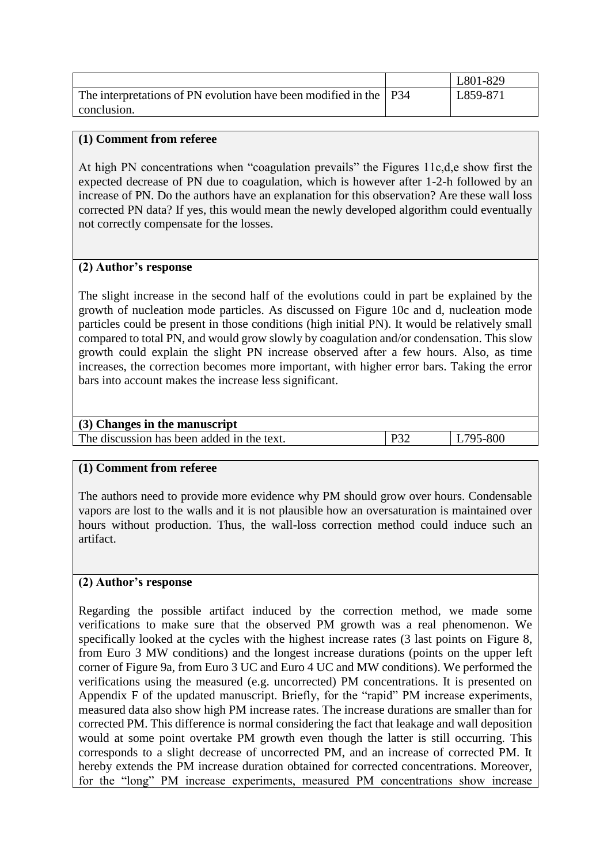|                                                                     | L801-829 |
|---------------------------------------------------------------------|----------|
| The interpretations of PN evolution have been modified in the   P34 | L859-871 |
| conclusion.                                                         |          |

At high PN concentrations when "coagulation prevails" the Figures 11c,d,e show first the expected decrease of PN due to coagulation, which is however after 1-2-h followed by an increase of PN. Do the authors have an explanation for this observation? Are these wall loss corrected PN data? If yes, this would mean the newly developed algorithm could eventually not correctly compensate for the losses.

### **(2) Author's response**

The slight increase in the second half of the evolutions could in part be explained by the growth of nucleation mode particles. As discussed on Figure 10c and d, nucleation mode particles could be present in those conditions (high initial PN). It would be relatively small compared to total PN, and would grow slowly by coagulation and/or condensation. This slow growth could explain the slight PN increase observed after a few hours. Also, as time increases, the correction becomes more important, with higher error bars. Taking the error bars into account makes the increase less significant.

| (3) Changes in the manuscript              |        |          |
|--------------------------------------------|--------|----------|
| The discussion has been added in the text. | $D2^c$ | L795-800 |
|                                            |        |          |

#### **(1) Comment from referee**

The authors need to provide more evidence why PM should grow over hours. Condensable vapors are lost to the walls and it is not plausible how an oversaturation is maintained over hours without production. Thus, the wall-loss correction method could induce such an artifact.

#### **(2) Author's response**

Regarding the possible artifact induced by the correction method, we made some verifications to make sure that the observed PM growth was a real phenomenon. We specifically looked at the cycles with the highest increase rates (3 last points on Figure 8, from Euro 3 MW conditions) and the longest increase durations (points on the upper left corner of Figure 9a, from Euro 3 UC and Euro 4 UC and MW conditions). We performed the verifications using the measured (e.g. uncorrected) PM concentrations. It is presented on Appendix F of the updated manuscript. Briefly, for the "rapid" PM increase experiments, measured data also show high PM increase rates. The increase durations are smaller than for corrected PM. This difference is normal considering the fact that leakage and wall deposition would at some point overtake PM growth even though the latter is still occurring. This corresponds to a slight decrease of uncorrected PM, and an increase of corrected PM. It hereby extends the PM increase duration obtained for corrected concentrations. Moreover, for the "long" PM increase experiments, measured PM concentrations show increase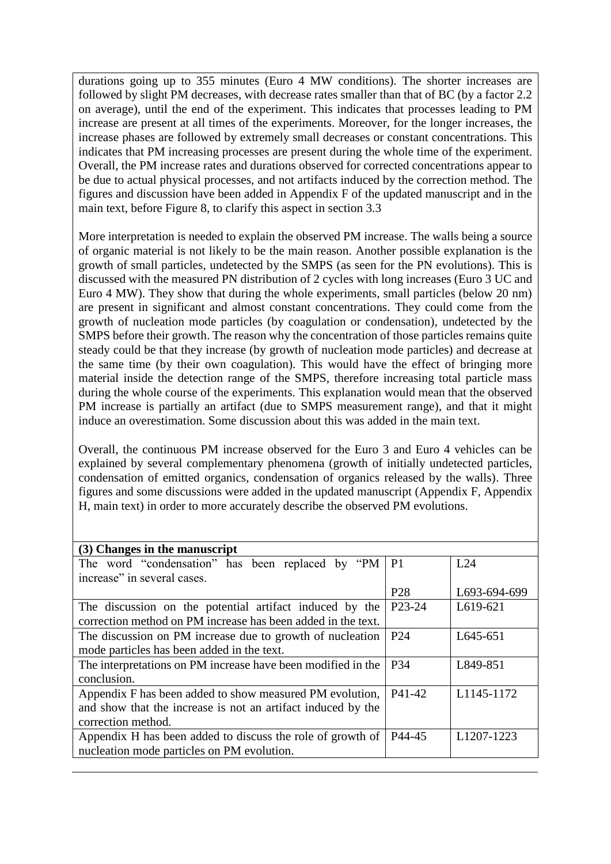durations going up to 355 minutes (Euro 4 MW conditions). The shorter increases are followed by slight PM decreases, with decrease rates smaller than that of BC (by a factor 2.2 on average), until the end of the experiment. This indicates that processes leading to PM increase are present at all times of the experiments. Moreover, for the longer increases, the increase phases are followed by extremely small decreases or constant concentrations. This indicates that PM increasing processes are present during the whole time of the experiment. Overall, the PM increase rates and durations observed for corrected concentrations appear to be due to actual physical processes, and not artifacts induced by the correction method. The figures and discussion have been added in Appendix F of the updated manuscript and in the main text, before Figure 8, to clarify this aspect in section 3.3

More interpretation is needed to explain the observed PM increase. The walls being a source of organic material is not likely to be the main reason. Another possible explanation is the growth of small particles, undetected by the SMPS (as seen for the PN evolutions). This is discussed with the measured PN distribution of 2 cycles with long increases (Euro 3 UC and Euro 4 MW). They show that during the whole experiments, small particles (below 20 nm) are present in significant and almost constant concentrations. They could come from the growth of nucleation mode particles (by coagulation or condensation), undetected by the SMPS before their growth. The reason why the concentration of those particles remains quite steady could be that they increase (by growth of nucleation mode particles) and decrease at the same time (by their own coagulation). This would have the effect of bringing more material inside the detection range of the SMPS, therefore increasing total particle mass during the whole course of the experiments. This explanation would mean that the observed PM increase is partially an artifact (due to SMPS measurement range), and that it might induce an overestimation. Some discussion about this was added in the main text.

Overall, the continuous PM increase observed for the Euro 3 and Euro 4 vehicles can be explained by several complementary phenomena (growth of initially undetected particles, condensation of emitted organics, condensation of organics released by the walls). Three figures and some discussions were added in the updated manuscript (Appendix F, Appendix H, main text) in order to more accurately describe the observed PM evolutions.

| (3) Changes in the manuscript                                |                     |                         |
|--------------------------------------------------------------|---------------------|-------------------------|
| The word "condensation" has been replaced by "PM             | P <sub>1</sub>      | L24                     |
| increase" in several cases.                                  |                     |                         |
|                                                              | P <sub>28</sub>     | L693-694-699            |
| The discussion on the potential artifact induced by the      | P <sub>23</sub> -24 | L619-621                |
| correction method on PM increase has been added in the text. |                     |                         |
| The discussion on PM increase due to growth of nucleation    | P <sub>24</sub>     | L645-651                |
| mode particles has been added in the text.                   |                     |                         |
| The interpretations on PM increase have been modified in the | P <sub>34</sub>     | L849-851                |
| conclusion.                                                  |                     |                         |
| Appendix F has been added to show measured PM evolution,     | P41-42              | L1145-1172              |
| and show that the increase is not an artifact induced by the |                     |                         |
| correction method.                                           |                     |                         |
| Appendix H has been added to discuss the role of growth of   | P44-45              | L <sub>1207</sub> -1223 |
| nucleation mode particles on PM evolution.                   |                     |                         |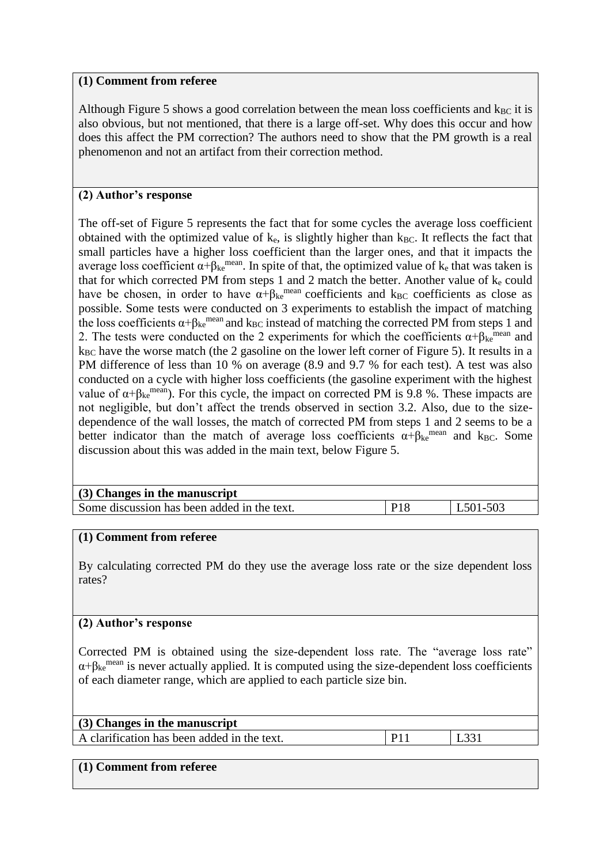Although Figure 5 shows a good correlation between the mean loss coefficients and  $k_{BC}$  it is also obvious, but not mentioned, that there is a large off-set. Why does this occur and how does this affect the PM correction? The authors need to show that the PM growth is a real phenomenon and not an artifact from their correction method.

# **(2) Author's response**

The off-set of Figure 5 represents the fact that for some cycles the average loss coefficient obtained with the optimized value of  $k_e$ , is slightly higher than  $k_{BC}$ . It reflects the fact that small particles have a higher loss coefficient than the larger ones, and that it impacts the average loss coefficient  $\alpha + \beta_{ke}$ <sup>mean</sup>. In spite of that, the optimized value of k<sub>e</sub> that was taken is that for which corrected PM from steps 1 and 2 match the better. Another value of  $k_e$  could have be chosen, in order to have  $\alpha + \beta_{ke}$ <sup>mean</sup> coefficients and k<sub>BC</sub> coefficients as close as possible. Some tests were conducted on 3 experiments to establish the impact of matching the loss coefficients  $\alpha + \beta_{ke}$ <sup>mean</sup> and k<sub>BC</sub> instead of matching the corrected PM from steps 1 and 2. The tests were conducted on the 2 experiments for which the coefficients  $\alpha + \beta_{\text{ke}}$ <sup>mean</sup> and  $k_{BC}$  have the worse match (the 2 gasoline on the lower left corner of Figure 5). It results in a PM difference of less than 10 % on average (8.9 and 9.7 % for each test). A test was also conducted on a cycle with higher loss coefficients (the gasoline experiment with the highest value of  $\alpha + \beta_{\text{ke}}^{\text{mean}}$ ). For this cycle, the impact on corrected PM is 9.8 %. These impacts are not negligible, but don't affect the trends observed in section 3.2. Also, due to the sizedependence of the wall losses, the match of corrected PM from steps 1 and 2 seems to be a better indicator than the match of average loss coefficients  $\alpha + \beta_{ke}^{mean}$  and  $k_{BC}$ . Some discussion about this was added in the main text, below Figure 5.

| (3) Changes in the manuscript               |     |          |
|---------------------------------------------|-----|----------|
| Some discussion has been added in the text. | P18 | L501-503 |

# **(1) Comment from referee**

By calculating corrected PM do they use the average loss rate or the size dependent loss rates?

# **(2) Author's response**

Corrected PM is obtained using the size-dependent loss rate. The "average loss rate"  $\alpha + \beta_{\rm ke}$ <sup>mean</sup> is never actually applied. It is computed using the size-dependent loss coefficients of each diameter range, which are applied to each particle size bin.

| (3) Changes in the manuscript               |  |  |
|---------------------------------------------|--|--|
| A clarification has been added in the text. |  |  |
|                                             |  |  |

# **(1) Comment from referee**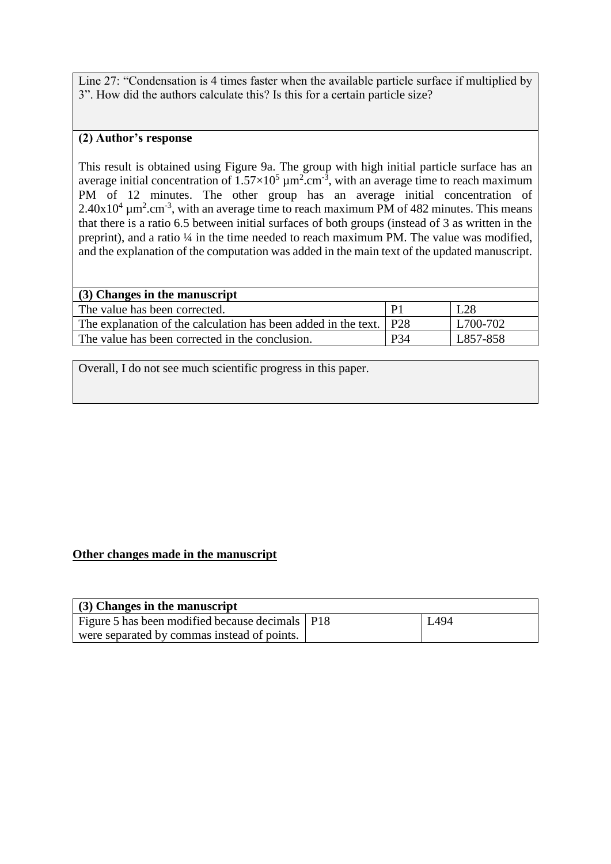Line 27: "Condensation is 4 times faster when the available particle surface if multiplied by 3". How did the authors calculate this? Is this for a certain particle size?

# **(2) Author's response**

This result is obtained using Figure 9a. The group with high initial particle surface has an average initial concentration of  $1.57 \times 10^5 \mu m^2.cm^{-3}$ , with an average time to reach maximum PM of 12 minutes. The other group has an average initial concentration of  $2.40x10^4 \mu m^2.cm^{-3}$ , with an average time to reach maximum PM of 482 minutes. This means that there is a ratio 6.5 between initial surfaces of both groups (instead of 3 as written in the preprint), and a ratio  $\frac{1}{4}$  in the time needed to reach maximum PM. The value was modified, and the explanation of the computation was added in the main text of the updated manuscript.

| $(3)$ Changes in the manuscript                                      |                 |          |
|----------------------------------------------------------------------|-----------------|----------|
| The value has been corrected.                                        |                 | L28      |
| The explanation of the calculation has been added in the text.   P28 |                 | L700-702 |
| The value has been corrected in the conclusion.                      | P <sub>34</sub> | L857-858 |

Overall, I do not see much scientific progress in this paper.

# **Other changes made in the manuscript**

| $(3)$ Changes in the manuscript                   |  |      |  |
|---------------------------------------------------|--|------|--|
| Figure 5 has been modified because decimals   P18 |  | L494 |  |
| were separated by commas instead of points.       |  |      |  |